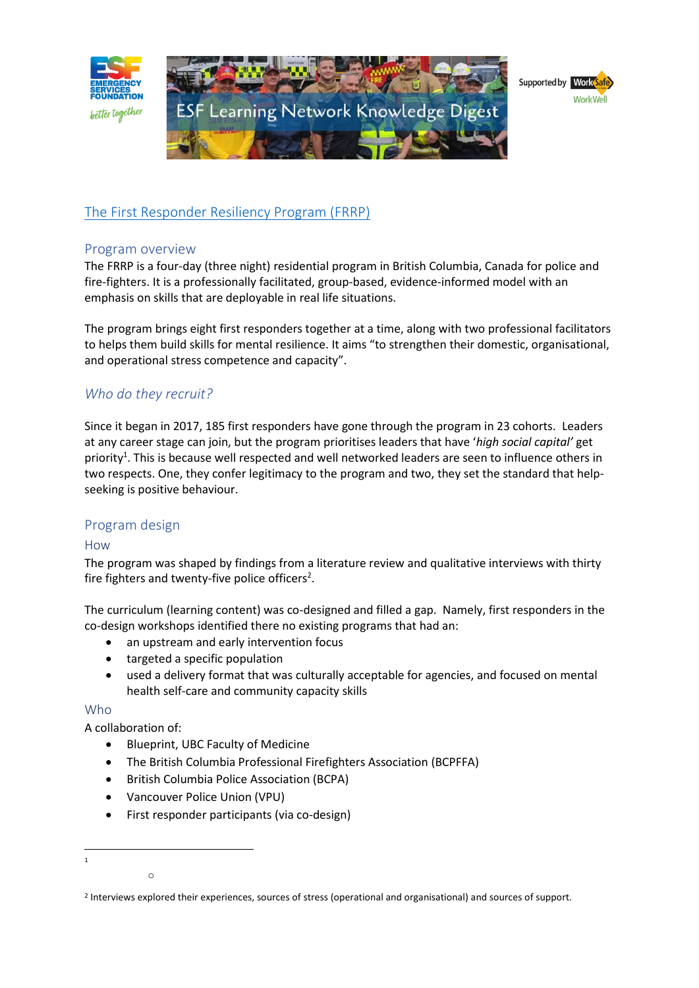

# [The First Responder Resiliency Program \(FRRP\)](https://www.responderresiliency.com/)

## Program overview

The FRRP is a four-day (three night) residential program in British Columbia, Canada for police and fire-fighters. It is a professionally facilitated, group-based, evidence-informed model with an emphasis on skills that are deployable in real life situations.

The program brings eight first responders together at a time, along with two professional facilitators to helps them build skills for mental resilience. It aims "to strengthen their domestic, organisational, and operational stress competence and capacity".

# *Who do they recruit?*

Since it began in 2017, 185 first responders have gone through the program in 23 cohorts. Leaders at any career stage can join, but the program prioritises leaders that have '*high social capital'* get priority<sup>1</sup>. This is because well respected and well networked leaders are seen to influence others in two respects. One, they confer legitimacy to the program and two, they set the standard that helpseeking is positive behaviour.

## Program design

## How

The program was shaped by findings from a literature review and qualitative interviews with thirty fire fighters and twenty-five police officers<sup>2</sup>.

The curriculum (learning content) was co-designed and filled a gap. Namely, first responders in the co-design workshops identified there no existing programs that had an:

- an upstream and early intervention focus
- targeted a specific population
- used a delivery format that was culturally acceptable for agencies, and focused on mental health self-care and community capacity skills

## Who

A collaboration of:

o

- Blueprint, UBC Faculty of Medicine
- The British Columbia Professional Firefighters Association (BCPFFA)
- British Columbia Police Association (BCPA)
- Vancouver Police Union (VPU)
- First responder participants (via co-design)

<sup>1</sup>

<sup>2</sup> Interviews explored their experiences, sources of stress (operational and organisational) and sources of support.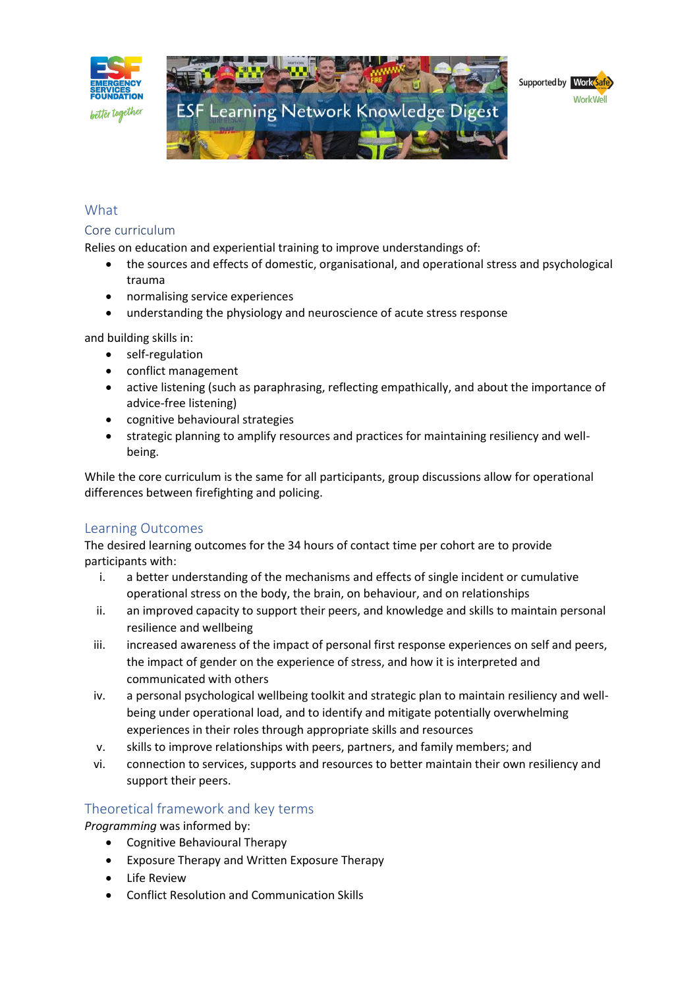

# What

## Core curriculum

Relies on education and experiential training to improve understandings of:

- the sources and effects of domestic, organisational, and operational stress and psychological trauma
- normalising service experiences
- understanding the physiology and neuroscience of acute stress response

and building skills in:

- self-regulation
- conflict management
- active listening (such as paraphrasing, reflecting empathically, and about the importance of advice-free listening)
- cognitive behavioural strategies
- strategic planning to amplify resources and practices for maintaining resiliency and wellbeing.

While the core curriculum is the same for all participants, group discussions allow for operational differences between firefighting and policing.

## Learning Outcomes

The desired learning outcomes for the 34 hours of contact time per cohort are to provide participants with:

- i. a better understanding of the mechanisms and effects of single incident or cumulative operational stress on the body, the brain, on behaviour, and on relationships
- ii. an improved capacity to support their peers, and knowledge and skills to maintain personal resilience and wellbeing
- iii. increased awareness of the impact of personal first response experiences on self and peers, the impact of gender on the experience of stress, and how it is interpreted and communicated with others
- iv. a personal psychological wellbeing toolkit and strategic plan to maintain resiliency and wellbeing under operational load, and to identify and mitigate potentially overwhelming experiences in their roles through appropriate skills and resources
- v. skills to improve relationships with peers, partners, and family members; and
- vi. connection to services, supports and resources to better maintain their own resiliency and support their peers.

## Theoretical framework and key terms

*Programming* was informed by:

- Cognitive Behavioural Therapy
- Exposure Therapy and Written Exposure Therapy
- Life Review
- Conflict Resolution and Communication Skills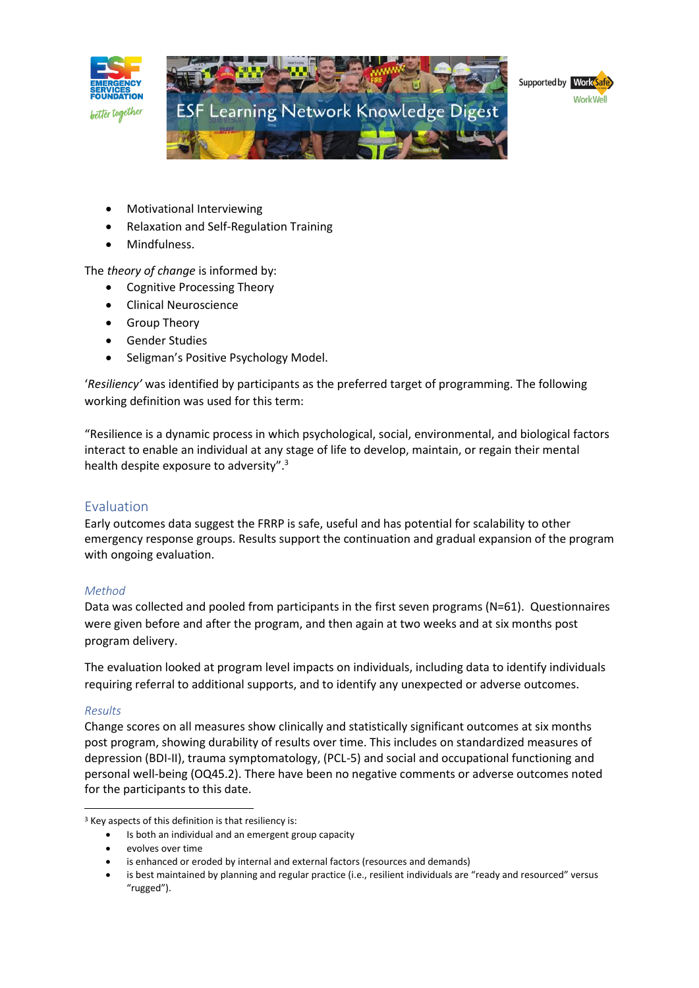

- Motivational Interviewing
- Relaxation and Self-Regulation Training
- Mindfulness.

The *theory of change* is informed by:

- Cognitive Processing Theory
- Clinical Neuroscience
- Group Theory
- Gender Studies
- Seligman's Positive Psychology Model.

'*Resiliency'* was identified by participants as the preferred target of programming. The following working definition was used for this term:

"Resilience is a dynamic process in which psychological, social, environmental, and biological factors interact to enable an individual at any stage of life to develop, maintain, or regain their mental health despite exposure to adversity".<sup>3</sup>

## Evaluation

Early outcomes data suggest the FRRP is safe, useful and has potential for scalability to other emergency response groups. Results support the continuation and gradual expansion of the program with ongoing evaluation.

## *Method*

Data was collected and pooled from participants in the first seven programs (N=61). Questionnaires were given before and after the program, and then again at two weeks and at six months post program delivery.

The evaluation looked at program level impacts on individuals, including data to identify individuals requiring referral to additional supports, and to identify any unexpected or adverse outcomes.

## *Results*

Change scores on all measures show clinically and statistically significant outcomes at six months post program, showing durability of results over time. This includes on standardized measures of depression (BDI-II), trauma symptomatology, (PCL-5) and social and occupational functioning and personal well-being (OQ45.2). There have been no negative comments or adverse outcomes noted for the participants to this date.

<sup>&</sup>lt;sup>3</sup> Key aspects of this definition is that resiliency is:

Is both an individual and an emergent group capacity

<sup>•</sup> evolves over time

is enhanced or eroded by internal and external factors (resources and demands)

<sup>•</sup> is best maintained by planning and regular practice (i.e., resilient individuals are "ready and resourced" versus "rugged").